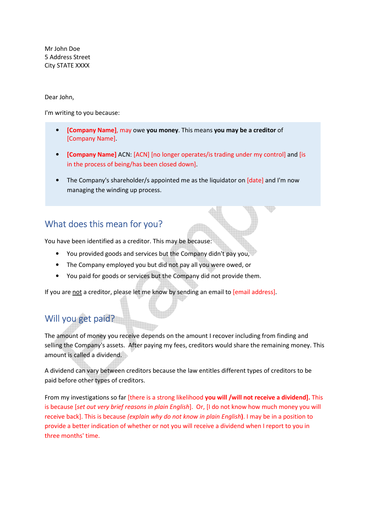Mr John Doe 5 Address Street City STATE XXXX

#### Dear John,

I'm writing to you because:

- **[Company Name]**, may owe **you money**. This means **you may be a creditor** of [Company Name].
- **[Company Name]** ACN: [ACN] [no longer operates/is trading under my control] and [is in the process of being/has been closed down].
- The Company's shareholder/s appointed me as the liquidator on [date] and I'm now managing the winding up process.

#### What does this mean for you?

You have been identified as a creditor. This may be because:

- You provided goods and services but the Company didn't pay you,
- The Company employed you but did not pay all you were owed, or
- You paid for goods or services but the Company did not provide them.

If you are not a creditor, please let me know by sending an email to [email address].

### Will you get paid?

The amount of money you receive depends on the amount I recover including from finding and selling the Company's assets. After paying my fees, creditors would share the remaining money. This amount is called a dividend.

A dividend can vary between creditors because the law entitles different types of creditors to be paid before other types of creditors.

From my investigations so far [there is a strong likelihood **you will /will not receive a dividend].** This is because [*set out very brief reasons in plain English*]. Or, [I do not know how much money you will receive back]. This is because *(explain why do not know in plain English***)**. I may be in a position to provide a better indication of whether or not you will receive a dividend when I report to you in three months' time.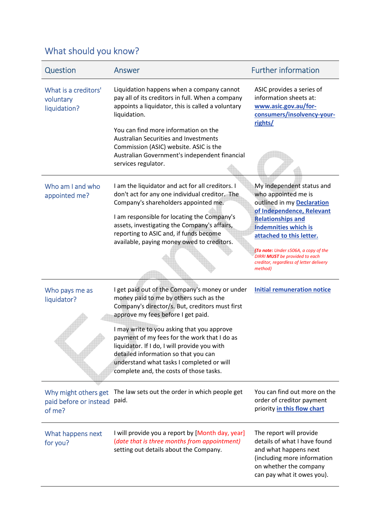# What should you know?

| Question                                                 | Answer                                                                                                                                                                                                                                                                     | <b>Further information</b>                                                                                                                                              |
|----------------------------------------------------------|----------------------------------------------------------------------------------------------------------------------------------------------------------------------------------------------------------------------------------------------------------------------------|-------------------------------------------------------------------------------------------------------------------------------------------------------------------------|
| What is a creditors'<br>voluntary<br>liquidation?        | Liquidation happens when a company cannot<br>pay all of its creditors in full. When a company<br>appoints a liquidator, this is called a voluntary<br>liquidation.<br>You can find more information on the                                                                 | ASIC provides a series of<br>information sheets at:<br>www.asic.gov.au/for-<br>consumers/insolvency-your-<br>rights/                                                    |
|                                                          | Australian Securities and Investments<br>Commission (ASIC) website. ASIC is the<br>Australian Government's independent financial<br>services regulator.                                                                                                                    |                                                                                                                                                                         |
| Who am I and who<br>appointed me?                        | I am the liquidator and act for all creditors. I<br>don't act for any one individual creditor. The<br>Company's shareholders appointed me.                                                                                                                                 | My independent status and<br>who appointed me is<br>outlined in my Declaration<br>of Independence, Relevant                                                             |
|                                                          | I am responsible for locating the Company's<br>assets, investigating the Company's affairs,<br>reporting to ASIC and, if funds become<br>available, paying money owed to creditors.                                                                                        | <b>Relationships and</b><br><b>Indemnities which is</b><br>attached to this letter.                                                                                     |
|                                                          |                                                                                                                                                                                                                                                                            | (To note: Under s506A, a copy of the<br>DIRRI MUST be provided to each<br>creditor, regardless of letter delivery<br>method)                                            |
| Who pays me as<br>liquidator?                            | I get paid out of the Company's money or under<br>money paid to me by others such as the<br>Company's director/s. But, creditors must first<br>approve my fees before I get paid.                                                                                          | <b>Initial remuneration notice</b>                                                                                                                                      |
|                                                          | I may write to you asking that you approve<br>payment of my fees for the work that I do as<br>liquidator. If I do, I will provide you with<br>detailed information so that you can<br>understand what tasks I completed or will<br>complete and, the costs of those tasks. |                                                                                                                                                                         |
| Why might others get<br>paid before or instead<br>of me? | The law sets out the order in which people get<br>paid.                                                                                                                                                                                                                    | You can find out more on the<br>order of creditor payment<br>priority in this flow chart                                                                                |
| What happens next<br>for you?                            | I will provide you a report by [Month day, year]<br>(date that is three months from appointment)<br>setting out details about the Company.                                                                                                                                 | The report will provide<br>details of what I have found<br>and what happens next<br>(including more information<br>on whether the company<br>can pay what it owes you). |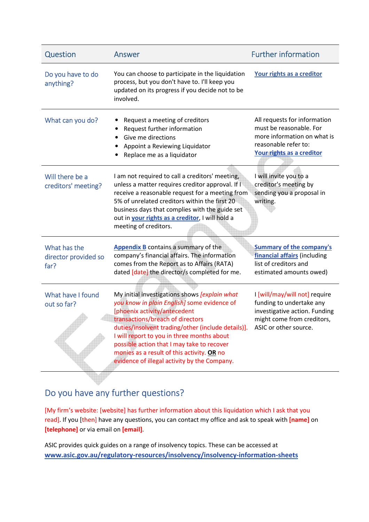| Question                                     | Answer                                                                                                                                                                                                                                                                                                                                                                                                                                 | <b>Further information</b>                                                                                                                  |
|----------------------------------------------|----------------------------------------------------------------------------------------------------------------------------------------------------------------------------------------------------------------------------------------------------------------------------------------------------------------------------------------------------------------------------------------------------------------------------------------|---------------------------------------------------------------------------------------------------------------------------------------------|
| Do you have to do<br>anything?               | You can choose to participate in the liquidation<br>process, but you don't have to. I'll keep you<br>updated on its progress if you decide not to be<br>involved.                                                                                                                                                                                                                                                                      | Your rights as a creditor                                                                                                                   |
| What can you do?                             | Request a meeting of creditors<br>Request further information<br>Give me directions<br>Appoint a Reviewing Liquidator<br>Replace me as a liquidator                                                                                                                                                                                                                                                                                    | All requests for information<br>must be reasonable. For<br>more information on what is<br>reasonable refer to:<br>Your rights as a creditor |
| Will there be a<br>creditors' meeting?       | I am not required to call a creditors' meeting,<br>unless a matter requires creditor approval. If I<br>receive a reasonable request for a meeting from<br>5% of unrelated creditors within the first 20<br>business days that complies with the guide set<br>out in your rights as a creditor, I will hold a<br>meeting of creditors.                                                                                                  | I will invite you to a<br>creditor's meeting by<br>sending you a proposal in<br>writing.                                                    |
| What has the<br>director provided so<br>far? | Appendix B contains a summary of the<br>company's financial affairs. The information<br>comes from the Report as to Affairs (RATA)<br>dated [date] the director/s completed for me.                                                                                                                                                                                                                                                    | <b>Summary of the company's</b><br>financial affairs (including<br>list of creditors and<br>estimated amounts owed)                         |
| What have I found<br>out so far?             | My initial investigations shows [explain what<br>you know in plain English] some evidence of<br>[phoenix activity/antecedent<br>transactions/breach of directors<br>duties/insolvent trading/other (include details)]. ASIC or other source.<br>I will report to you in three months about<br>possible action that I may take to recover<br>monies as a result of this activity. OR no<br>evidence of illegal activity by the Company. | I [will/may/will not] require<br>funding to undertake any<br>investigative action. Funding<br>might come from creditors,                    |

## Do you have any further questions?

[My firm's website: [website] has further information about this liquidation which I ask that you read]. If you [then] have any questions, you can contact my office and ask to speak with **[name]** on **[telephone]** or via email on **[email]**.

ASIC provides quick guides on a range of insolvency topics. These can be accessed at **www.asic.gov.au/regulatory-resources/insolvency/insolvency-information-sheets**